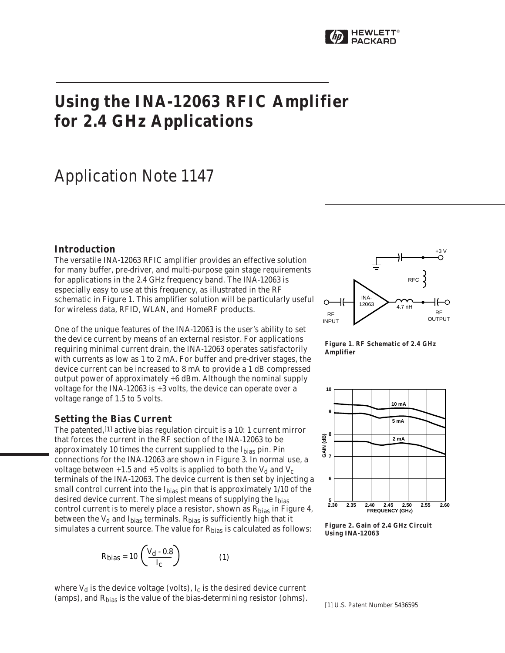

# **Using the INA-12063 RFIC Amplifier for 2.4 GHz Applications**

## Application Note 1147

#### **Introduction**

The versatile INA-12063 RFIC amplifier provides an effective solution for many buffer, pre-driver, and multi-purpose gain stage requirements for applications in the 2.4 GHz frequency band. The INA-12063 is especially easy to use at this frequency, as illustrated in the RF schematic in Figure 1. This amplifier solution will be particularly useful for wireless data, RFID, WLAN, and HomeRF products.

One of the unique features of the INA-12063 is the user's ability to set the device current by means of an external resistor. For applications requiring minimal current drain, the INA-12063 operates satisfactorily with currents as low as 1 to 2 mA. For buffer and pre-driver stages, the device current can be increased to 8 mA to provide a 1 dB compressed output power of approximately +6 dBm. Although the nominal supply voltage for the INA-12063 is +3 volts, the device can operate over a voltage range of 1.5 to 5 volts.

#### **Setting the Bias Current**

The patented,[1] active bias regulation circuit is a 10: 1 current mirror that forces the current in the RF section of the INA-12063 to be approximately 10 times the current supplied to the  $I_{bias}$  pin. Pin connections for the INA-12063 are shown in Figure 3. In normal use, a voltage between +1.5 and +5 volts is applied to both the  $V_d$  and  $V_c$ terminals of the INA-12063. The device current is then set by injecting a small control current into the Ibias pin that is approximately 1/10 of the desired device current. The simplest means of supplying the Ibias control current is to merely place a resistor, shown as Rbias in Figure 4, between the  $V_d$  and  $I_{bias}$  terminals.  $R_{bias}$  is sufficiently high that it simulates a current source. The value for R<sub>bias</sub> is calculated as follows:

$$
R_{bias} = 10 \left( \frac{V_d - 0.8}{I_c} \right) \tag{1}
$$

where  $V_d$  is the device voltage (volts),  $I_c$  is the desired device current (amps), and  $R_{bias}$  is the value of the bias-determining resistor (ohms). [1] U.S. Patent Number 5436595



**Figure 1. RF Schematic of 2.4 GHz Amplifier**



**Figure 2. Gain of 2.4 GHz Circuit Using INA-12063**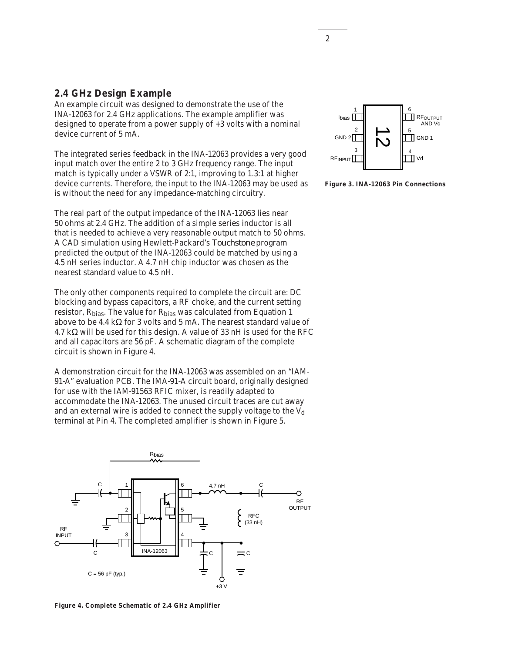#### **2.4 GHz Design Example**

An example circuit was designed to demonstrate the use of the INA-12063 for 2.4 GHz applications. The example amplifier was designed to operate from a power supply of +3 volts with a nominal device current of 5 mA.

The integrated series feedback in the INA-12063 provides a very good input match over the entire 2 to 3 GHz frequency range. The input match is typically under a VSWR of 2:1, improving to 1.3:1 at higher device currents. Therefore, the input to the INA-12063 may be used as is without the need for any impedance-matching circuitry.

The real part of the output impedance of the INA-12063 lies near 50 ohms at 2.4 GHz. The addition of a simple series inductor is all that is needed to achieve a very reasonable output match to 50 ohms. A CAD simulation using Hewlett-Packard's *Touchstone* program predicted the output of the INA-12063 could be matched by using a 4.5 nH series inductor. A 4.7 nH chip inductor was chosen as the nearest standard value to 4.5 nH.

The only other components required to complete the circuit are: DC blocking and bypass capacitors, a RF choke, and the current setting resistor, Rbias. The value for Rbias was calculated from Equation 1 above to be 4.4 kΩ for 3 volts and 5 mA. The nearest standard value of  $4.7 \text{ k}\Omega$  will be used for this design. A value of 33 nH is used for the RFC and all capacitors are 56 pF. A schematic diagram of the complete circuit is shown in Figure 4.

A demonstration circuit for the INA-12063 was assembled on an "IAM-91-A" evaluation PCB. The IMA-91-A circuit board, originally designed for use with the IAM-91563 RFIC mixer, is readily adapted to accommodate the INA-12063. The unused circuit traces are cut away and an external wire is added to connect the supply voltage to the  $V_d$ terminal at Pin 4. The completed amplifier is shown in Figure 5.







**Figure 3. INA-12063 Pin Connections**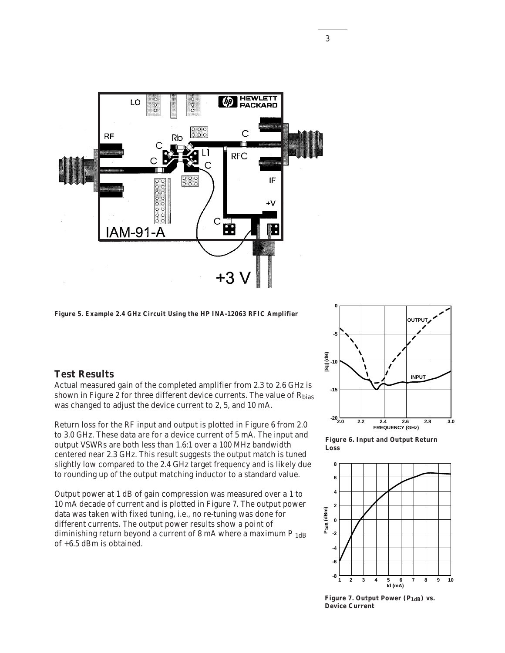

**Figure 5. Example 2.4 GHz Circuit Using the HP INA-12063 RFIC Amplifier**

### **Test Results**

Actual measured gain of the completed amplifier from 2.3 to 2.6 GHz is shown in Figure 2 for three different device currents. The value of  $R_{bias}$ was changed to adjust the device current to 2, 5, and 10 mA.

Return loss for the RF input and output is plotted in Figure 6 from 2.0 to 3.0 GHz. These data are for a device current of 5 mA. The input and output VSWRs are both less than 1.6:1 over a 100 MHz bandwidth centered near 2.3 GHz. This result suggests the output match is tuned slightly low compared to the 2.4 GHz target frequency and is likely due to rounding up of the output matching inductor to a standard value.

Output power at 1 dB of gain compression was measured over a 1 to 10 mA decade of current and is plotted in Figure 7. The output power data was taken with fixed tuning, i.e., no re-tuning was done for different currents. The output power results show a point of diminishing return beyond a current of 8 mA where a maximum P 1dB of +6.5 dBm is obtained.



**Figure 6. Input and Output Return Loss**



Figure 7. Output Power (P<sub>1dB</sub>) vs. **Device Current**